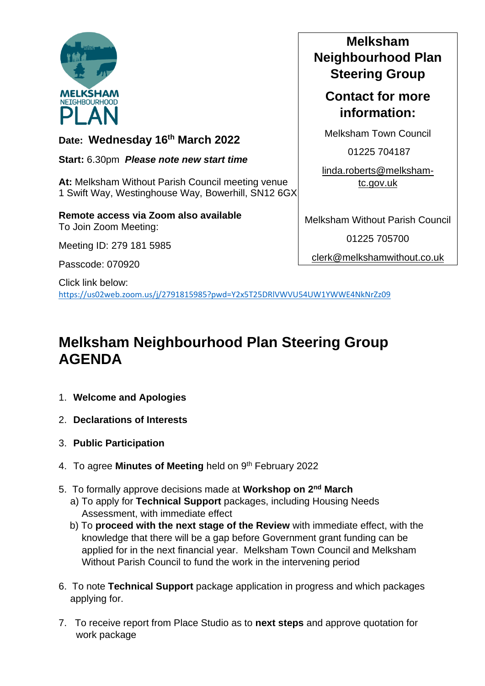

## **Date: Wednesday 16th March 2022**

**Start:** 6.30pm *Please note new start time*

**At:** Melksham Without Parish Council meeting venue 1 Swift Way, Westinghouse Way, Bowerhill, SN12 6GX

**Remote access via Zoom also available** To Join Zoom Meeting:

Meeting ID: 279 181 5985

Passcode: 070920

Melksham Without Parish Council 01225 705700

[clerk@melkshamwithout.co.uk](mailto:clerk@melkshamwithout.co.uk)

Click link below: <https://us02web.zoom.us/j/2791815985?pwd=Y2x5T25DRlVWVU54UW1YWWE4NkNrZz09>

## **Melksham Neighbourhood Plan Steering Group AGENDA**

- 1. **Welcome and Apologies**
- 2. **Declarations of Interests**
- 3. **Public Participation**
- 4. To agree **Minutes of Meeting** held on 9 th February 2022
- 5. To formally approve decisions made at **Workshop on 2nd March**
	- a) To apply for **Technical Support** packages, including Housing Needs Assessment, with immediate effect
	- b) To **proceed with the next stage of the Review** with immediate effect, with the knowledge that there will be a gap before Government grant funding can be applied for in the next financial year. Melksham Town Council and Melksham Without Parish Council to fund the work in the intervening period
- 6. To note **Technical Support** package application in progress and which packages applying for.
- 7. To receive report from Place Studio as to **next steps** and approve quotation for work package

## **Melksham Neighbourhood Plan Steering Group**

## **Contact for more information:**

Melksham Town Council

01225 704187

[linda.roberts@melksham](mailto:linda.roberts@melksham-tc.gov.uk)[tc.gov.uk](mailto:linda.roberts@melksham-tc.gov.uk)